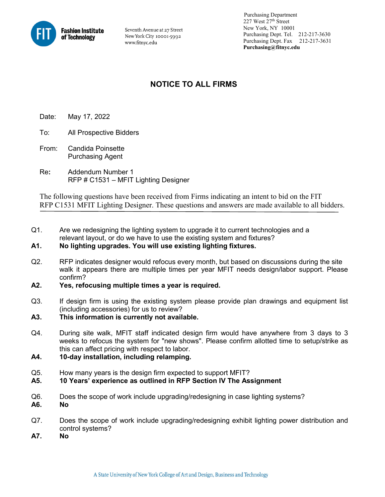

Seventh Avenue at 27 Street New York City 10001-5992 www.fitnyc.edu

 Purchasing Department 227 West 27th Street New York, NY 10001 Purchasing Dept. Tel. 212-217-3630 Purchasing Dept. Fax 212-217-3631 **Purchasing@fitnyc.edu**

## **NOTICE TO ALL FIRMS**

Date: May 17, 2022

- To: All Prospective Bidders
- From: Candida Poinsette Purchasing Agent
- Re**:** Addendum Number 1 RFP # C1531 – MFIT Lighting Designer

The following questions have been received from Firms indicating an intent to bid on the FIT RFP C1531 MFIT Lighting Designer. These questions and answers are made available to all bidders.

Q1. Are we redesigning the lighting system to upgrade it to current technologies and a relevant layout, or do we have to use the existing system and fixtures?

## **A1. No lighting upgrades. You will use existing lighting fixtures.**

- Q2. RFP indicates designer would refocus every month, but based on discussions during the site walk it appears there are multiple times per year MFIT needs design/labor support. Please confirm?
- **A2. Yes, refocusing multiple times a year is required.**
- Q3. If design firm is using the existing system please provide plan drawings and equipment list (including accessories) for us to review?

## **A3. This information is currently not available.**

- Q4. During site walk, MFIT staff indicated design firm would have anywhere from 3 days to 3 weeks to refocus the system for "new shows". Please confirm allotted time to setup/strike as this can affect pricing with respect to labor.
- **A4. 10-day installation, including relamping.**
- Q5. How many years is the design firm expected to support MFIT?
- **A5. 10 Years' experience as outlined in RFP Section IV The Assignment**
- Q6. Does the scope of work include upgrading/redesigning in case lighting systems?
- **A6. No**
- Q7. Does the scope of work include upgrading/redesigning exhibit lighting power distribution and control systems?
- **A7. No**